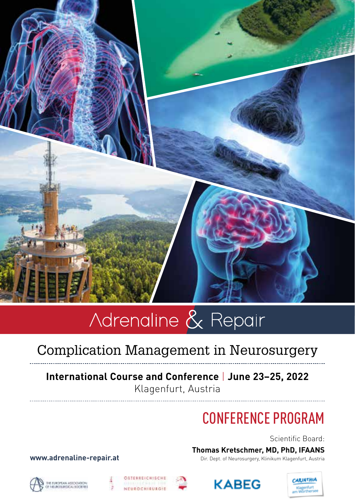

# Complication Management in Neurosurgery

## **International Course and Conference** | **June 23–25, 2022** Klagenfurt, Austria

# CONFERENCE PROGRAM

Scientific Board:

**Thomas Kretschmer, MD, PhD, IFAANS**

**www.adrenaline-repair.at** Dir. Dept. of Neurosurgery, Klinikum Klagenfurt, Austria









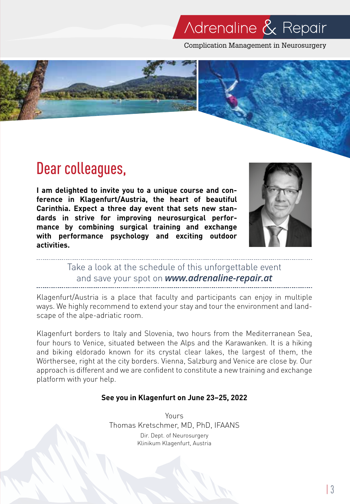Complication Management in Neurosurgery



# Dear colleagues,

**I am delighted to invite you to a unique course and conference in Klagenfurt/Austria, the heart of beautiful Carinthia. Expect a three day event that sets new standards in strive for improving neurosurgical performance by combining surgical training and exchange with performance psychology and exciting outdoor activities.** 



# Take a look at the schedule of this unforgettable event and save your spot on *www.adrenaline-repair.at*

Klagenfurt/Austria is a place that faculty and participants can enjoy in multiple ways. We highly recommend to extend your stay and tour the environment and landscape of the alpe-adriatic room.

Klagenfurt borders to Italy and Slovenia, two hours from the Mediterranean Sea, four hours to Venice, situated between the Alps and the Karawanken. It is a hiking and biking eldorado known for its crystal clear lakes, the largest of them, the Wörthersee, right at the city borders. Vienna, Salzburg and Venice are close by. Our approach is different and we are confident to constitute a new training and exchange platform with your help.

### **See you in Klagenfurt on June 23–25, 2022**

Yours Thomas Kretschmer, MD, PhD, IFAANS Dir. Dept. of Neurosurgery Klinikum Klagenfurt, Austria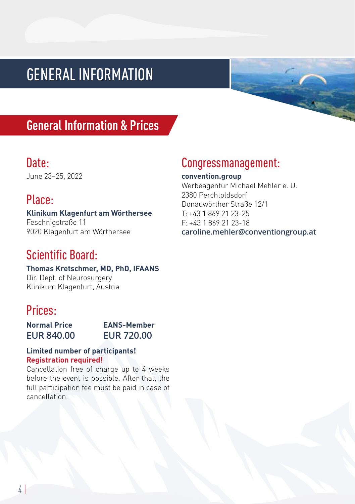# GENERAL INFORMATION

# **General Information & Prices**

## Date:

June 23–25, 2022

# Place:

### **Klinikum Klagenfurt am Wörthersee**

Feschnigstraße 11 9020 Klagenfurt am Wörthersee

# Scientific Board:

**Thomas Kretschmer, MD, PhD, IFAANS**  Dir. Dept. of Neurosurgery Klinikum Klagenfurt, Austria

# Prices:

| <b>Normal Price</b> | EANS-Member       |
|---------------------|-------------------|
| <b>EUR 840.00</b>   | <b>EUR 720.00</b> |

### **Limited number of participants! Registration required!**

Cancellation free of charge up to 4 weeks before the event is possible. After that, the full participation fee must be paid in case of cancellation.

## Congressmanagement:

**convention.group** Werbeagentur Michael Mehler e. U. 2380 Perchtoldsdorf Donauwörther Straße 12/1 T: +43 1 869 21 23-25 F: +43 1 869 21 23-18 **caroline.mehler@conventiongroup.at**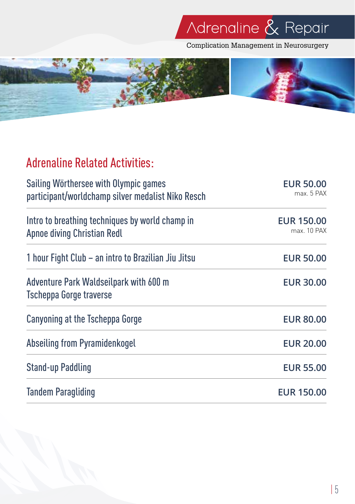Complication Management in Neurosurgery



# Adrenaline Related Activities:

| Sailing Wörthersee with Olympic games<br>participant/worldchamp silver medalist Niko Resch | <b>EUR 50.00</b><br>max. 5 PAX   |  |
|--------------------------------------------------------------------------------------------|----------------------------------|--|
| Intro to breathing techniques by world champ in<br>Apnoe diving Christian Redl             | <b>EUR 150.00</b><br>max. 10 PAX |  |
| 1 hour Fight Club – an intro to Brazilian Jiu Jitsu                                        | <b>EUR 50.00</b>                 |  |
| Adventure Park Waldseilpark with 600 m<br><b>Tscheppa Gorge traverse</b>                   | <b>EUR 30.00</b>                 |  |
| Canyoning at the Tscheppa Gorge                                                            | <b>EUR 80.00</b>                 |  |
| Abseiling from Pyramidenkogel                                                              | <b>EUR 20.00</b>                 |  |
| <b>Stand-up Paddling</b>                                                                   | <b>EUR 55.00</b>                 |  |
| <b>Tandem Paragliding</b>                                                                  | <b>EUR 150.00</b>                |  |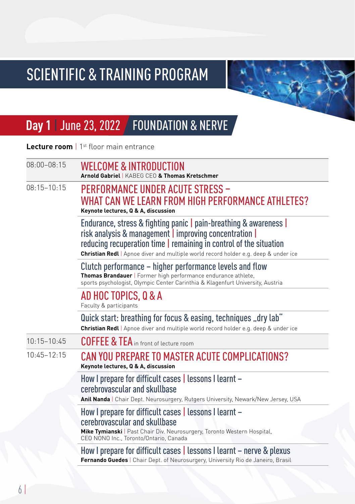

# **Day 1** | June 23, 2022 | FOUNDATION & NERVE

**Lecture room** | 1<sup>st</sup> floor main entrance

| $08:00 - 08:15$ | <b>WELCOME &amp; INTRODUCTION</b><br>Arnold Gabriel   KABEG CEO & Thomas Kretschmer                                                                                                                                                                                                      |
|-----------------|------------------------------------------------------------------------------------------------------------------------------------------------------------------------------------------------------------------------------------------------------------------------------------------|
| $08.15 - 10.15$ | <b>PERFORMANCE UNDER ACUTE STRESS -</b><br>WHAT CAN WE LEARN FROM HIGH PERFORMANCE ATHLETES?<br>Keynote lectures, Q & A, discussion                                                                                                                                                      |
|                 | Endurance, stress & fighting panic   pain-breathing & awareness  <br>risk analysis & management   improving concentration  <br>reducing recuperation time   remaining in control of the situation<br>Christian Redl   Apnoe diver and multiple world record holder e.g. deep & under ice |
|                 | Clutch performance – higher performance levels and flow<br>Thomas Brandauer   Former high performance endurance athlete,<br>sports psychologist, Olympic Center Carinthia & Klagenfurt University, Austria                                                                               |
|                 | AD HOC TOPICS, Q & A<br>Faculty & participants                                                                                                                                                                                                                                           |
|                 | Quick start: breathing for focus & easing, techniques "dry lab"<br>Christian Redl   Apnoe diver and multiple world record holder e.g. deep & under ice                                                                                                                                   |
| $10:15 - 10:45$ | <b>COFFEE &amp; TEA</b> in front of lecture room                                                                                                                                                                                                                                         |
| $10:45 - 12:15$ | CAN YOU PREPARE TO MASTER ACUTE COMPLICATIONS?<br>Keynote lectures, Q & A, discussion                                                                                                                                                                                                    |
|                 | How I prepare for difficult cases   lessons I learnt -<br>cerebrovascular and skullbase<br>Anil Nanda   Chair Dept. Neurosurgery, Rutgers University, Newark/New Jersey, USA                                                                                                             |
|                 | How I prepare for difficult cases   lessons I learnt -<br>cerebrovascular and skullbase<br>Mike Tymianski   Past Chair Div. Neurosurgery, Toronto Western Hospital,<br>CEO NONO Inc., Toronto/Ontario, Canada                                                                            |
|                 | How I prepare for difficult cases   lessons I learnt – nerve & plexus<br>Fernando Guedes   Chair Dept. of Neurosurgery, University Rio de Janeiro, Brasil                                                                                                                                |
|                 |                                                                                                                                                                                                                                                                                          |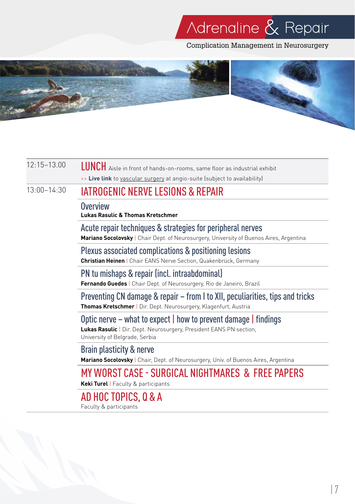Complication Management in Neurosurgery



## 12:15–13.00 LUNCH Aisle in front of hands-on-rooms, same floor as industrial exhibit >> **Live link** to vascular surgery at angio-suite (subject to availability)

## 13:00–14:30 IATROGENIC NERVE LESIONS & REPAIR

### **Overview**

**Lukas Rasulic & Thomas Kretschmer**

Acute repair techniques & strategies for peripheral nerves

**Mariano Socolovsky** | Chair Dept. of Neurosurgery, University of Buenos Aires, Argentina

Plexus associated complications & positioning lesions

**Christian Heinen** | Chair EANS Nerve Section, Quakenbrück, Germany

PN tu mishaps & repair (incl. intraabdominal) **Fernando Guedes** | Chair Dept. of Neurosurgery, Rio de Janeiro, Brazil

Preventing CN damage & repair – from I to XII, peculiarities, tips and tricks **Thomas Kretschmer** | Dir. Dept. Neurosurgery, Klagenfurt, Austria

## Optic nerve – what to expect | how to prevent damage | findings

**Lukas Rasulic** | Dir. Dept. Neurosurgery, President EANS PN section, University of Belgrade, Serbia

Brain plasticity & nerve **Mariano Socolovsky** | Chair, Dept. of Neurosurgery, Univ. of Buenos Aires, Argentina

# MY WORST CASE - SURGICAL NIGHTMARES & FREE PAPERS

**Keki Turel** | Faculty & participants

AD HOC TOPICS, Q & A

Faculty & participants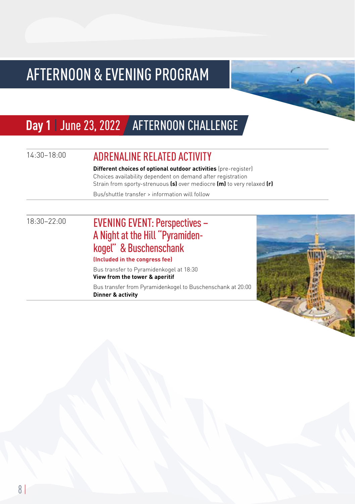# AFTERNOON & EVENING PROGRAM

# Day 1 | June 23, 2022 **| AFTERNOON CHALLENGE**

# 14:30–18:00 ADRENALINE RELATED ACTIVITY

**Different choices of optional outdoor activities** (pre-register) Choices availability dependent on demand after registration Strain from sporty-strenuous **(s)** over mediocre **(m)** to very relaxed **(r)**

Bus/shuttle transfer > information will follow

## 18:30–22:00 EVENING EVENT: Perspectives – A Night at the Hill "Pyramidenkogel" & Buschenschank

### **(Included in the congress fee)**

Bus transfer to Pyramidenkogel at 18:30 **View from the tower & aperitif** Bus transfer from Pyramidenkogel to Buschenschank at 20:00

**Dinner & activity**

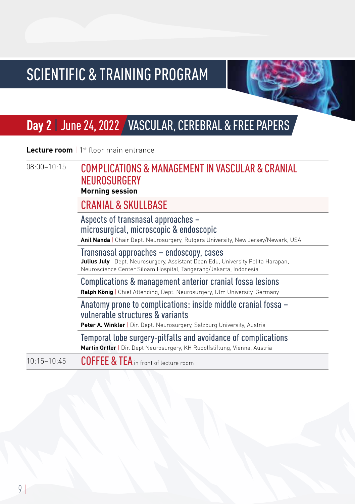

# **Day 2** | June 24, 2022 VASCULAR, CEREBRAL & FREE PAPERS

**Lecture room** | 1st floor main entrance

|             | <b>Morning session</b>                           |
|-------------|--------------------------------------------------|
|             | NEUROSURGERY                                     |
| 08:00-10:15 | COMPLICATIONS & MANAGEMENT IN VASCULAR & CRANIAL |

CRANIAL & SKIILLBASE

Aspects of transnasal approaches – microsurgical, microscopic & endoscopic **Anil Nanda** | Chair Dept. Neurosurgery, Rutgers University, New Jersey/Newark, USA Transnasal approaches – endoscopy, cases

**Julius July** | Dept. Neurosurgery, Assistant Dean Edu, University Pelita Harapan, Neuroscience Center Siloam Hospital, Tangerang/Jakarta, Indonesia

Complications & management anterior cranial fossa lesions **Ralph König** | Chief Attending, Dept. Neurosurgery, Ulm University, Germany

Anatomy prone to complications: inside middle cranial fossa – vulnerable structures & variants

**Peter A. Winkler** | Dir. Dept. Neurosurgery, Salzburg University, Austria

Temporal lobe surgery-pitfalls and avoidance of complications

**Martin Ortler** | Dir. Dept Neurosurgery, KH Rudolfstiftung, Vienna, Austria

10:15-10:45 COFFEE & TEA in front of lecture room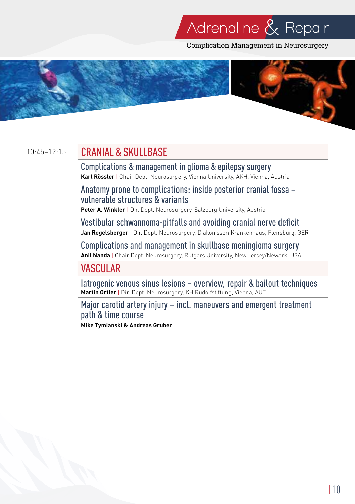Complication Management in Neurosurgery



## 10:45-12:15 CRANIAL & SKIILLBASE

Complications & management in glioma & epilepsy surgery **Karl Rössler** | Chair Dept. Neurosurgery, Vienna University, AKH, Vienna, Austria

Anatomy prone to complications: inside posterior cranial fossa – vulnerable structures & variants

**Peter A. Winkler** | Dir. Dept. Neurosurgery, Salzburg University, Austria

Vestibular schwannoma-pitfalls and avoiding cranial nerve deficit **Jan Regelsberger** | Dir. Dept. Neurosurgery, Diakonissen Krankenhaus, Flensburg, GER

Complications and management in skullbase meningioma surgery **Anil Nanda** | Chair Dept. Neurosurgery, Rutgers University, New Jersey/Newark, USA

## VASCULAR

Iatrogenic venous sinus lesions – overview, repair & bailout techniques **Martin Ortler** | Dir. Dept. Neurosurgery, KH Rudolfstiftung, Vienna, AUT

Major carotid artery injury – incl. maneuvers and emergent treatment path & time course

**Mike Tymianski & Andreas Gruber**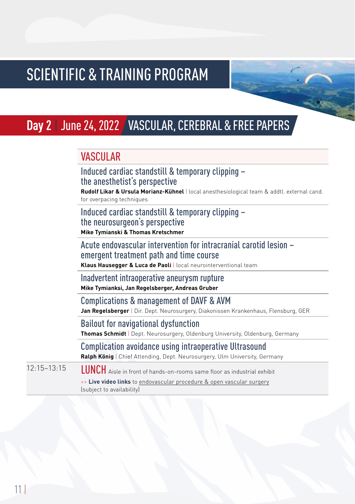# **Day 2** | June 24, 2022 VASCULAR, CEREBRAL & FREE PAPERS

## **VASCIII AR**

| Induced cardiac standstill & temporary clipping -<br>the anesthetist's perspective                                        |
|---------------------------------------------------------------------------------------------------------------------------|
| Rudolf Likar & Ursula Morianz-Kühnel   local anesthesiological team & addtl. external cand.<br>for overpacing techniques  |
| Induced cardiac standstill & temporary clipping -<br>the neurosurgeon's perspective<br>Mike Tymianski & Thomas Kretschmer |

Acute endovascular intervention for intracranial carotid lesion – emergent treatment path and time course

**Klaus Hausegger & Luca de Paoli** | local neurointerventional team

Inadvertent intraoperative aneurysm rupture **Mike Tymianksi, Jan Regelsberger, Andreas Gruber**

Complications & management of DAVF & AVM

**Jan Regelsberger** | Dir. Dept. Neurosurgery, Diakonissen Krankenhaus, Flensburg, GER

Bailout for navigational dysfunction

**Thomas Schmidt** | Dept. Neurosurgery, Oldenburg University, Oldenburg, Germany

Complication avoidance using intraoperative Ultrasound **Ralph König** | Chief Attending, Dept. Neurosurgery, Ulm University, Germany

12:15–13:15 LUNCH Aisle in front of hands-on-rooms same floor as industrial exhibit

>> **Live video links** to endovascular procedure & open vascular surgery (subject to availability)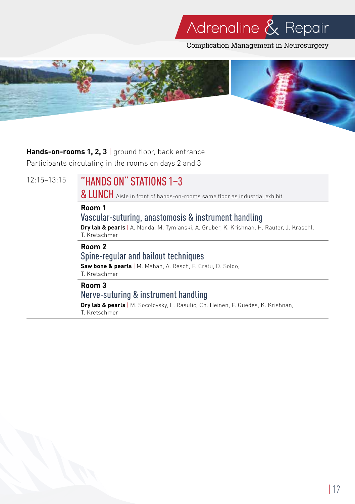Complication Management in Neurosurgery



### Hands-on-rooms 1, 2, 3 | ground floor, back entrance

Participants circulating in the rooms on days 2 and 3

12:15–13:15 "HANDS ON" STATIONS 1–3

& LUNCH Aisle in front of hands-on-rooms same floor as industrial exhibit

### **Room 1**

## Vascular-suturing, anastomosis & instrument handling

**Dry lab & pearls** | A. Nanda, M. Tymianski, A. Gruber, K. Krishnan, H. Rauter, J. Kraschl, T. Kretschmer

### **Room 2**

## Spine-regular and bailout techniques

**Saw bone & pearls** | M. Mahan, A. Resch, F. Cretu, D. Soldo, T. Kretschmer

## **Room 3**

## Nerve-suturing & instrument handling

**Dry lab & pearls** | M. Socolovsky, L. Rasulic, Ch. Heinen, F. Guedes, K. Krishnan, T. Kretschmer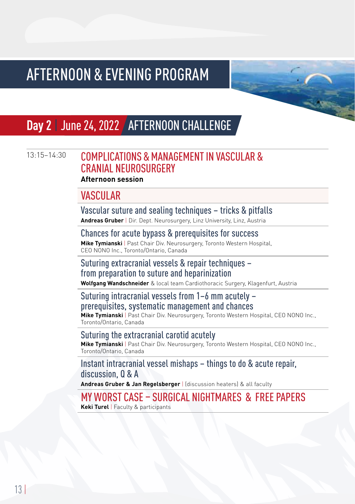# AFTERNOON & EVENING PROGRAM

# **Day 2** | June 24, 2022 AFTERNOON CHALLENGE

## 13:15-14:30 COMPLICATIONS & MANAGEMENT IN VASCIII AR & CRANIAL NEUROSURGERY

### **Afternoon session**

## **VASCIII AR**

## Vascular suture and sealing techniques – tricks & pitfalls

**Andreas Gruber** | Dir. Dept. Neurosurgery, Linz University, Linz, Austria

## Chances for acute bypass & prerequisites for success

**Mike Tymianski** | Past Chair Div. Neurosurgery, Toronto Western Hospital, CEO NONO Inc., Toronto/Ontario, Canada

## Suturing extracranial vessels & repair techniques – from preparation to suture and heparinization

**Wolfgang Wandschneider** & local team Cardiothoracic Surgery, Klagenfurt, Austria

## Suturing intracranial vessels from 1–6 mm acutely – prerequisites, systematic management and chances

**Mike Tymianski** | Past Chair Div. Neurosurgery, Toronto Western Hospital, CEO NONO Inc., Toronto/Ontario, Canada

### Suturing the extracranial carotid acutely

**Mike Tymianski** | Past Chair Div. Neurosurgery, Toronto Western Hospital, CEO NONO Inc., Toronto/Ontario, Canada

## Instant intracranial vessel mishaps – things to do & acute repair, discussion, Q & A

**Andreas Gruber & Jan Regelsberger** | (discussion heaters) & all faculty

## MY WORST CASE – SURGICAL NIGHTMARES & FREE PAPERS **Keki Turel** | Faculty & participants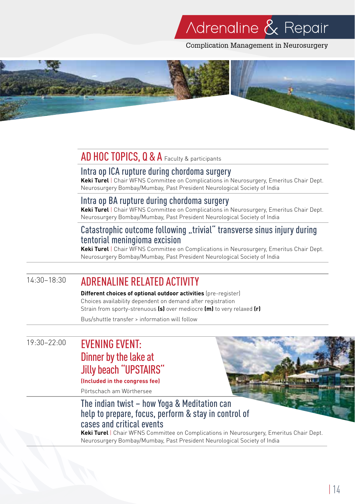Complication Management in Neurosurgery



## AD HOC TOPICS, Q & A Faculty & participants

### Intra op ICA rupture during chordoma surgery

**Keki Turel** | Chair WFNS Committee on Complications in Neurosurgery, Emeritus Chair Dept. Neurosurgery Bombay/Mumbay, Past President Neurological Society of India

## Intra op BA rupture during chordoma surgery

**Keki Turel** | Chair WFNS Committee on Complications in Neurosurgery, Emeritus Chair Dept. Neurosurgery Bombay/Mumbay, Past President Neurological Society of India

## Catastrophic outcome following "trivial" transverse sinus injury during tentorial meningioma excision

**Keki Turel** | Chair WFNS Committee on Complications in Neurosurgery, Emeritus Chair Dept. Neurosurgery Bombay/Mumbay, Past President Neurological Society of India

## 14:30–18:30 ADRENALINE RELATED ACTIVITY

**Different choices of optional outdoor activities** (pre-register) Choices availability dependent on demand after registration Strain from sporty-strenuous **(s)** over mediocre **(m)** to very relaxed **(r)**

Bus/shuttle transfer > information will follow

## 19:30–22:00 EVENING EVENT: Dinner by the lake at Jilly beach "UPSTAIRS"

## **(Included in the congress fee)**

Pörtschach am Wörthersee

## The indian twist – how Yoga & Meditation can help to prepare, focus, perform & stay in control of cases and critical events

**Keki Turel** | Chair WFNS Committee on Complications in Neurosurgery, Emeritus Chair Dept. Neurosurgery Bombay/Mumbay, Past President Neurological Society of India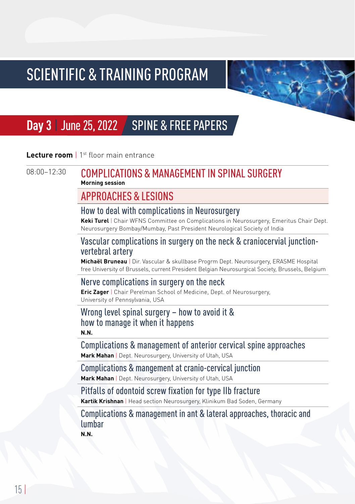

# **Day 3** | June 25, 2022 | SPINE & FREE PAPERS

### **Lecture room** | 1st floor main entrance

## 08:00-12:30 COMPLICATIONS & MANAGEMENT IN SPINAL SURGERY **Morning session**

## APPROACHES & LESIONS

### How to deal with complications in Neurosurgery

**Keki Turel** | Chair WFNS Committee on Complications in Neurosurgery, Emeritus Chair Dept. Neurosurgery Bombay/Mumbay, Past President Neurological Society of India

## Vascular complications in surgery on the neck & craniocervial junctionvertebral artery

**Michaël Bruneau** | Dir. Vascular & skullbase Progrm Dept. Neurosurgery, ERASME Hospital free University of Brussels, current President Belgian Neurosurgical Society, Brussels, Belgium

## Nerve complications in surgery on the neck

**Eric Zager** | Chair Perelman School of Medicine, Dept. of Neurosurgery, University of Pennsylvania, USA

### Wrong level spinal surgery – how to avoid it & how to manage it when it happens **N.N.**

## Complications & management of anterior cervical spine approaches

**Mark Mahan** | Dept. Neurosurgery, University of Utah, USA

## Complications & mangement at cranio-cervical junction

**Mark Mahan** | Dept. Neurosurgery, University of Utah, USA

## Pitfalls of odontoid screw fixation for type IIb fracture

**Kartik Krishnan** | Head section Neurosurgery, Klinikum Bad Soden, Germany

Complications & management in ant & lateral approaches, thoracic and lumbar **N.N.**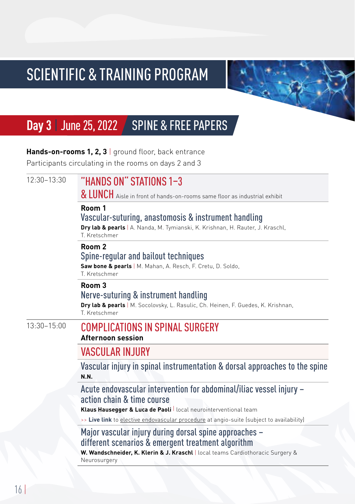

# **Day 3** | June 25, 2022 | SPINE & FREE PAPERS

Hands-on-rooms 1, 2, 3 | ground floor, back entrance

Participants circulating in the rooms on days 2 and 3

| $12:30 - 13:30$ | "HANDS ON" STATIONS 1-3<br>& LUNCH Aisle in front of hands-on-rooms same floor as industrial exhibit                                                                  |
|-----------------|-----------------------------------------------------------------------------------------------------------------------------------------------------------------------|
|                 | Room 1<br>Vascular-suturing, anastomosis & instrument handling<br>Dry lab & pearls   A. Nanda, M. Tymianski, K. Krishnan, H. Rauter, J. Kraschl,<br>T. Kretschmer     |
|                 | Room <sub>2</sub><br>Spine-regular and bailout techniques<br>Saw bone & pearls   M. Mahan, A. Resch, F. Cretu, D. Soldo,<br>T Kretschmer                              |
|                 | Room 3<br>Nerve-suturing & instrument handling<br>Dry lab & pearls   M. Socolovsky, L. Rasulic, Ch. Heinen, F. Guedes, K. Krishnan,<br>T. Kretschmer                  |
| $13:30 - 15:00$ | <b>COMPLICATIONS IN SPINAL SURGERY</b><br><b>Afternoon session</b>                                                                                                    |
|                 | <b>VASCULAR INJURY</b>                                                                                                                                                |
|                 | Vascular injury in spinal instrumentation & dorsal approaches to the spine<br><b>N.N.</b>                                                                             |
|                 | Acute endovascular intervention for abdominal/iliac vessel injury -<br>action chain & time course<br>Klaus Hausegger & Luca de Paoli   local neurointerventional team |
|                 | >> Live link to elective endovascular procedure at angio-suite (subject to availability)                                                                              |
|                 | Major vascular injury during dorsal spine approaches -<br>different scenarios & emergent treatment algorithm                                                          |
|                 | W. Wandschneider, K. Klerin & J. Kraschl   local teams Cardiothoracic Surgery &<br>Neurosurgery                                                                       |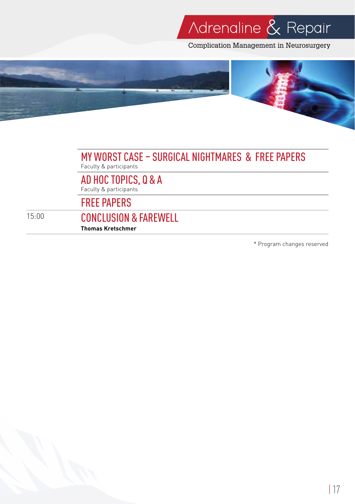Complication Management in Neurosurgery



### MY WORST CASE – SURGICAL NIGHTMARES & FREE PAPERS Faculty & participants

AD HOC TOPICS, Q & A Faculty & participants

FREE PAPERS

### 15:00 CONCLUSION & FAREWELL **Thomas Kretschmer**

\* Program changes reserved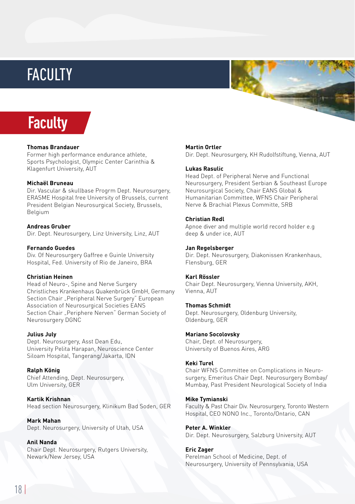# **FACULTY**





#### **Thomas Brandauer**

Former high performance endurance athlete, Sports Psychologist, Olympic Center Carinthia & Klagenfurt University, AUT

#### **Michaël Bruneau**

Dir. Vascular & skullbase Progrm Dept. Neurosurgery, ERASME Hospital free University of Brussels, current President Belgian Neurosurgical Society, Brussels, Belgium

#### **Andreas Gruber**

Dir. Dept. Neurosurgery, Linz University, Linz, AUT

#### **Fernando Guedes**

Div. Of Neurosurgery Gaffree e Guinle University Hospital, Fed. University of Rio de Janeiro, BRA

#### **Christian Heinen**

Head of Neuro-, Spine and Nerve Surgery Christliches Krankenhaus Quakenbrück GmbH, Germany Section Chair "Peripheral Nerve Surgery" European Association of Neurosurgical Societies EANS Section Chair "Periphere Nerven" German Society of Neurosurgery DGNC

#### **Julius July**

Dept. Neurosurgery, Asst Dean Edu, University Pelita Harapan, Neuroscience Center Siloam Hospital, Tangerang/Jakarta, IDN

**Ralph König** Chief Attending, Dept. Neurosurgery, Ulm University, GER

**Kartik Krishnan** Head section Neurosurgery, Klinikum Bad Soden, GER

**Mark Mahan** Dept. Neurosurgery, University of Utah, USA

**Anil Nanda** Chair Dept. Neurosurgery, Rutgers University, Newark/New Jersey, USA

#### **Martin Ortler**

Dir. Dept. Neurosurgery, KH Rudolfstiftung, Vienna, AUT

#### **Lukas Rasulic**

Head Dept. of Peripheral Nerve and Functional Neurosurgery, President Serbian & Southeast Europe Neurosurgical Society, Chair EANS Global & Humanitarian Committee, WFNS Chair Peripheral Nerve & Brachial Plexus Committe, SRB

#### **Christian Redl**

Apnoe diver and multiple world record holder e.g deep & under ice, AUT

#### **Jan Regelsberger**

Dir. Dept. Neurosurgery, Diakonissen Krankenhaus, Flensburg, GER

#### **Karl Rössler**

Chair Dept. Neurosurgery, Vienna University, AKH, Vienna, AUT

#### **Thomas Schmidt**

Dept. Neurosurgery, Oldenburg University, Oldenburg, GER

#### **Mariano Socolovsky**

Chair, Dept. of Neurosurgery, University of Buenos Aires, ARG

#### **Keki Turel**

Chair WFNS Committee on Complications in Neurosurgery, Emeritus Chair Dept. Neurosurgery Bombay/ Mumbay, Past President Neurological Society of India

#### **Mike Tymianski**

Faculty & Past Chair Div. Neurosurgery, Toronto Western Hospital, CEO NONO Inc., Toronto/Ontario, CAN

#### **Peter A. Winkler**

Dir. Dept. Neurosurgery, Salzburg University, AUT

#### **Eric Zager**

Perelman School of Medicine, Dept. of Neurosurgery, University of Pennsylvania, USA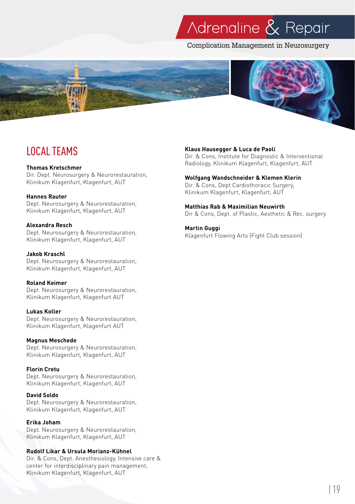Complication Management in Neurosurgery



# LOCAL TEAMS

#### **Thomas Kretschmer**

Dir. Dept. Neurosurgery & Neurorestauration, Klinikum Klagenfurt, Klagenfurt, AUT

#### **Hannes Rauter**

Dept. Neurosurgery & Neurorestauration, Klinikum Klagenfurt, Klagenfurt, AUT

**Alexandra Resch** Dept. Neurosurgery & Neurorestauration, Klinikum Klagenfurt, Klagenfurt, AUT

#### **Jakob Kraschl**

Dept. Neurosurgery & Neurorestauration, Klinikum Klagenfurt, Klagenfurt, AUT

#### **Roland Keimer**

Dept. Neurosurgery & Neurorestauration, Klinikum Klagenfurt, Klagenfurt AUT

### **Lukas Koller**

Dept. Neurosurgery & Neurorestauration, Klinikum Klagenfurt, Klagenfurt AUT

### **Magnus Meschede**

Dept. Neurosurgery & Neurorestauration, Klinikum Klagenfurt, Klagenfurt, AUT

### **Florin Cretu**

Dept. Neurosurgery & Neurorestauration, Klinikum Klagenfurt, Klagenfurt, AUT

### **David Soldo**

Dept. Neurosurgery & Neurorestauration, Klinikum Klagenfurt, Klagenfurt, AUT

### **Erika Joham**

Dept. Neurosurgery & Neurorestauration, Klinikum Klagenfurt, Klagenfurt, AUT

### **Rudolf Likar & Ursula Morianz-Kühnel**

Dir. & Cons, Dept. Anesthesiology, Intensive care & center for interdisciplinary pain management, Klinikum Klagenfurt, Klagenfurt, AUT

### **Klaus Hausegger & Luca de Paoli**

Dir. & Cons, Institute for Diagnostic & Interventional Radiology, Klinikum Klagenfurt, Klagenfurt, AUT

#### **Wolfgang Wandschneider & Klemen Klerin**

Dir. & Cons, Dept Cardiothoracic Surgery, Klinikum Klagenfurt, Klagenfurt, AUT

#### **Matthias Rab & Maximilian Neuwirth**

Dir & Cons, Dept. of Plastic, Aesthetic & Rec. surgery

#### **Martin Guggi**

Klagenfurt Flowing Arts (Fight Club session)